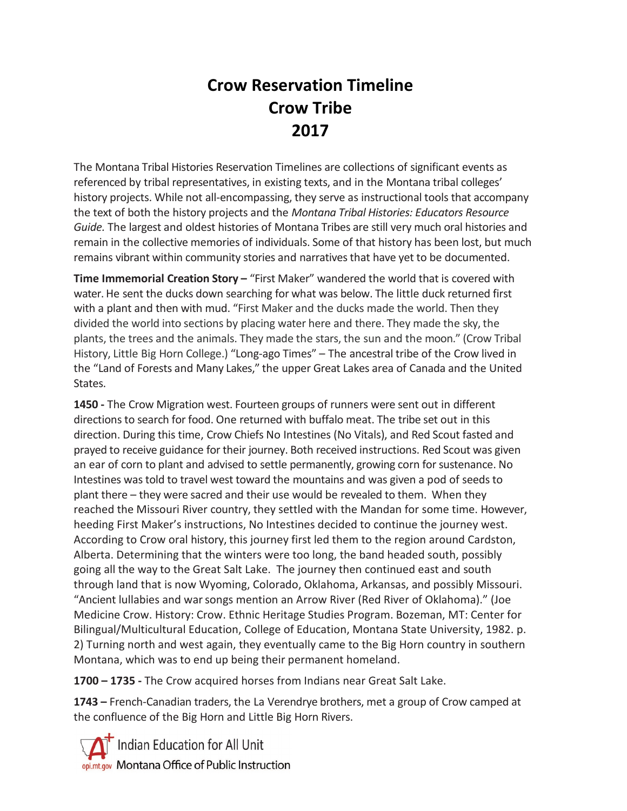## **Crow Reservation Timeline Crow Tribe 2017**

The Montana Tribal Histories Reservation Timelines are collections of significant events as referenced by tribal representatives, in existing texts, and in the Montana tribal colleges' history projects. While not all-encompassing, they serve as instructional tools that accompany the text of both the history projects and the *Montana Tribal Histories: Educators Resource Guide.* The largest and oldest histories of Montana Tribes are still very much oral histories and remain in the collective memories of individuals. Some of that history has been lost, but much remains vibrant within community stories and narratives that have yet to be documented.

**Time Immemorial Creation Story –** "First Maker" wandered the world that is covered with water. He sent the ducks down searching for what was below. The little duck returned first with a plant and then with mud. "First Maker and the ducks made the world. Then they divided the world into sections by placing water here and there. They made the sky, the plants, the trees and the animals. They made the stars, the sun and the moon." (Crow Tribal History, Little Big Horn College.) "Long-ago Times" – The ancestral tribe of the Crow lived in the "Land of Forests and Many Lakes," the upper Great Lakes area of Canada and the United States.

**1450 -** The Crow Migration west. Fourteen groups of runners were sent out in different directions to search for food. One returned with buffalo meat. The tribe set out in this direction. During this time, Crow Chiefs No Intestines (No Vitals), and Red Scout fasted and prayed to receive guidance for their journey. Both received instructions. Red Scout was given an ear of corn to plant and advised to settle permanently, growing corn for sustenance. No Intestines was told to travel west toward the mountains and was given a pod of seeds to plant there – they were sacred and their use would be revealed to them. When they reached the Missouri River country, they settled with the Mandan for some time. However, heeding First Maker's instructions, No Intestines decided to continue the journey west. According to Crow oral history, this journey first led them to the region around Cardston, Alberta. Determining that the winters were too long, the band headed south, possibly going all the way to the Great Salt Lake. The journey then continued east and south through land that is now Wyoming, Colorado, Oklahoma, Arkansas, and possibly Missouri. "Ancient lullabies and warsongs mention an Arrow River (Red River of Oklahoma)." (Joe Medicine Crow. History: Crow. Ethnic Heritage Studies Program. Bozeman, MT: Center for Bilingual/Multicultural Education, College of Education, Montana State University, 1982. p. 2) Turning north and west again, they eventually came to the Big Horn country in southern Montana, which was to end up being their permanent homeland.

**1700 – 1735 -** The Crow acquired horses from Indians near Great Salt Lake.

**1743 –** French-Canadian traders, the La Verendrye brothers, met a group of Crow camped at the confluence of the Big Horn and Little Big Horn Rivers.

Indian Education for All Unit opi.mt.gov Montana Office of Public Instruction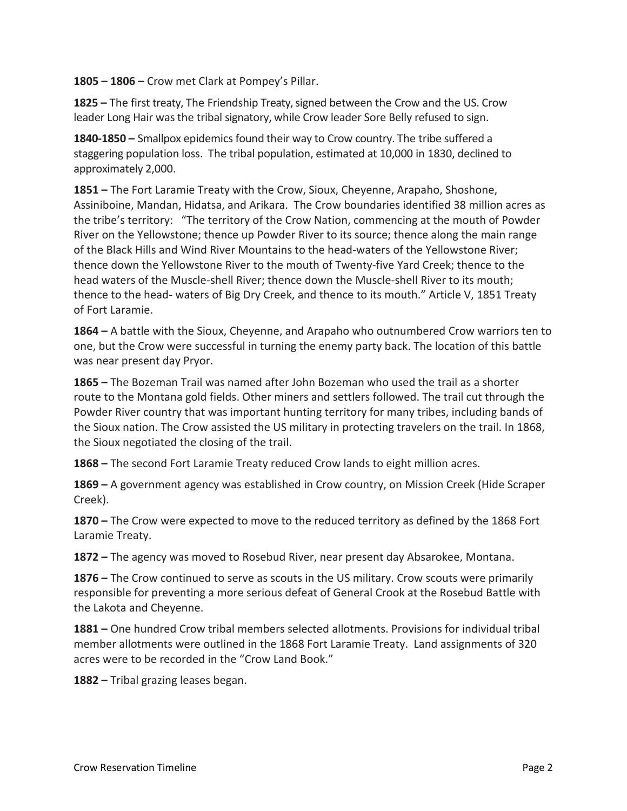**1805 – 1806 –** Crow met Clark at Pompey's Pillar.

**1825 –** The first treaty, The Friendship Treaty, signed between the Crow and the US. Crow leader Long Hair was the tribal signatory, while Crow leader Sore Belly refused to sign.

**1840-1850 –** Smallpox epidemics found their way to Crow country. The tribe suffered a staggering population loss. The tribal population, estimated at 10,000 in 1830, declined to approximately 2,000.

**1851 –** The Fort Laramie Treaty with the Crow, Sioux, Cheyenne, Arapaho, Shoshone, Assiniboine, Mandan, Hidatsa, and Arikara. The Crow boundaries identified 38 million acres as the tribe's territory: "The territory of the Crow Nation, commencing at the mouth of Powder River on the Yellowstone; thence up Powder River to its source; thence along the main range of the Black Hills and Wind River Mountains to the head-waters of the Yellowstone River; thence down the Yellowstone River to the mouth of Twenty-five Yard Creek; thence to the head waters of the Muscle-shell River; thence down the Muscle-shell River to its mouth; thence to the head- waters of Big Dry Creek, and thence to its mouth." Article V, 1851 Treaty of Fort Laramie.

**1864 –** A battle with the Sioux, Cheyenne, and Arapaho who outnumbered Crow warriors ten to one, but the Crow were successful in turning the enemy party back. The location of this battle was near present day Pryor.

**1865 –** The Bozeman Trail was named after John Bozeman who used the trail as a shorter route to the Montana gold fields. Other miners and settlers followed. The trail cut through the Powder River country that was important hunting territory for many tribes, including bands of the Sioux nation. The Crow assisted the US military in protecting travelers on the trail. In 1868, the Sioux negotiated the closing of the trail.

**1868 –** The second Fort Laramie Treaty reduced Crow lands to eight million acres.

**1869 –** A government agency was established in Crow country, on Mission Creek (Hide Scraper Creek).

**1870 –** The Crow were expected to move to the reduced territory as defined by the 1868 Fort Laramie Treaty.

**1872 –** The agency was moved to Rosebud River, near present day Absarokee, Montana.

**1876 –** The Crow continued to serve as scouts in the US military. Crow scouts were primarily responsible for preventing a more serious defeat of General Crook at the Rosebud Battle with the Lakota and Cheyenne.

**1881 –** One hundred Crow tribal members selected allotments. Provisions for individual tribal member allotments were outlined in the 1868 Fort Laramie Treaty. Land assignments of 320 acres were to be recorded in the "Crow Land Book."

**1882 –** Tribal grazing leases began.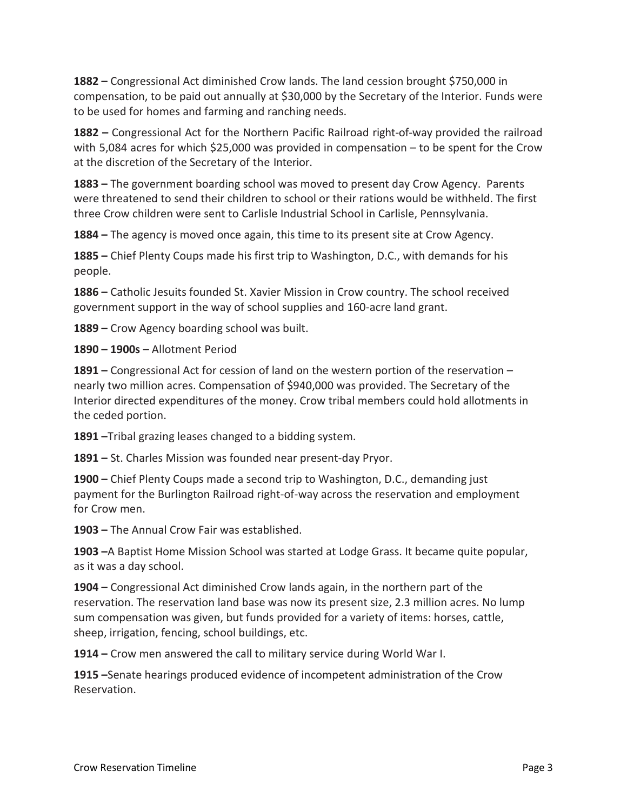**1882 –** Congressional Act diminished Crow lands. The land cession brought \$750,000 in compensation, to be paid out annually at \$30,000 by the Secretary of the Interior. Funds were to be used for homes and farming and ranching needs.

**1882 –** Congressional Act for the Northern Pacific Railroad right-of-way provided the railroad with 5,084 acres for which \$25,000 was provided in compensation – to be spent for the Crow at the discretion of the Secretary of the Interior.

**1883 –** The government boarding school was moved to present day Crow Agency. Parents were threatened to send their children to school or their rations would be withheld. The first three Crow children were sent to Carlisle Industrial School in Carlisle, Pennsylvania.

**1884 –** The agency is moved once again, this time to its present site at Crow Agency.

**1885 –** Chief Plenty Coups made his first trip to Washington, D.C., with demands for his people.

**1886 –** Catholic Jesuits founded St. Xavier Mission in Crow country. The school received government support in the way of school supplies and 160-acre land grant.

**1889 –** Crow Agency boarding school was built.

**1890 – 1900s** – Allotment Period

**1891 –** Congressional Act for cession of land on the western portion of the reservation – nearly two million acres. Compensation of \$940,000 was provided. The Secretary of the Interior directed expenditures of the money. Crow tribal members could hold allotments in the ceded portion.

**1891 –**Tribal grazing leases changed to a bidding system.

**1891 –** St. Charles Mission was founded near present-day Pryor.

**1900 –** Chief Plenty Coups made a second trip to Washington, D.C., demanding just payment for the Burlington Railroad right-of-way across the reservation and employment for Crow men.

**1903 –** The Annual Crow Fair was established.

**1903 –**A Baptist Home Mission School was started at Lodge Grass. It became quite popular, as it was a day school.

**1904 –** Congressional Act diminished Crow lands again, in the northern part of the reservation. The reservation land base was now its present size, 2.3 million acres. No lump sum compensation was given, but funds provided for a variety of items: horses, cattle, sheep, irrigation, fencing, school buildings, etc.

**1914 –** Crow men answered the call to military service during World War I.

**1915 –**Senate hearings produced evidence of incompetent administration of the Crow Reservation.